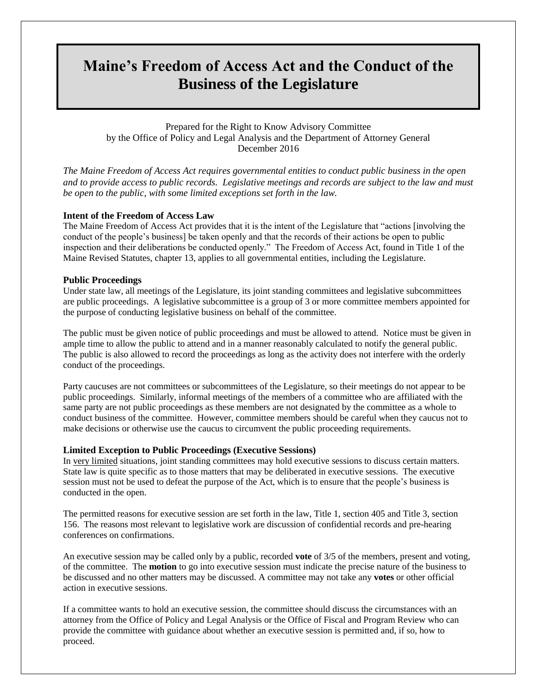# **Maine's Freedom of Access Act and the Conduct of the Business of the Legislature**

Prepared for the Right to Know Advisory Committee by the Office of Policy and Legal Analysis and the Department of Attorney General December 2016

*The Maine Freedom of Access Act requires governmental entities to conduct public business in the open and to provide access to public records. Legislative meetings and records are subject to the law and must be open to the public, with some limited exceptions set forth in the law.*

## **Intent of the Freedom of Access Law**

The Maine Freedom of Access Act provides that it is the intent of the Legislature that "actions [involving the conduct of the people's business] be taken openly and that the records of their actions be open to public inspection and their deliberations be conducted openly." The Freedom of Access Act, found in Title 1 of the Maine Revised Statutes, chapter 13, applies to all governmental entities, including the Legislature.

## **Public Proceedings**

Under state law, all meetings of the Legislature, its joint standing committees and legislative subcommittees are public proceedings. A legislative subcommittee is a group of 3 or more committee members appointed for the purpose of conducting legislative business on behalf of the committee.

The public must be given notice of public proceedings and must be allowed to attend. Notice must be given in ample time to allow the public to attend and in a manner reasonably calculated to notify the general public. The public is also allowed to record the proceedings as long as the activity does not interfere with the orderly conduct of the proceedings.

Party caucuses are not committees or subcommittees of the Legislature, so their meetings do not appear to be public proceedings. Similarly, informal meetings of the members of a committee who are affiliated with the same party are not public proceedings as these members are not designated by the committee as a whole to conduct business of the committee. However, committee members should be careful when they caucus not to make decisions or otherwise use the caucus to circumvent the public proceeding requirements.

## **Limited Exception to Public Proceedings (Executive Sessions)**

In very limited situations, joint standing committees may hold executive sessions to discuss certain matters. State law is quite specific as to those matters that may be deliberated in executive sessions. The executive session must not be used to defeat the purpose of the Act, which is to ensure that the people's business is conducted in the open.

The permitted reasons for executive session are set forth in the law, Title 1, section 405 and Title 3, section 156. The reasons most relevant to legislative work are discussion of confidential records and pre-hearing conferences on confirmations.

An executive session may be called only by a public, recorded **vote** of 3/5 of the members, present and voting, of the committee. The **motion** to go into executive session must indicate the precise nature of the business to be discussed and no other matters may be discussed. A committee may not take any **votes** or other official action in executive sessions.

If a committee wants to hold an executive session, the committee should discuss the circumstances with an attorney from the Office of Policy and Legal Analysis or the Office of Fiscal and Program Review who can provide the committee with guidance about whether an executive session is permitted and, if so, how to proceed.